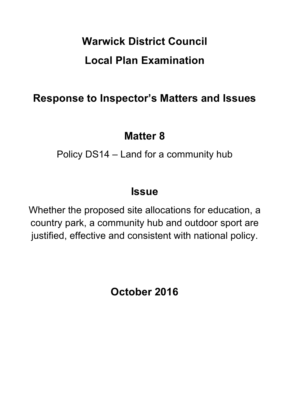# **Warwick District Council Local Plan Examination**

## **Response to Inspector's Matters and Issues**

## **Matter 8**

Policy DS14 – Land for a community hub

## **Issue**

Whether the proposed site allocations for education, a country park, a community hub and outdoor sport are justified, effective and consistent with national policy.

**October 2016**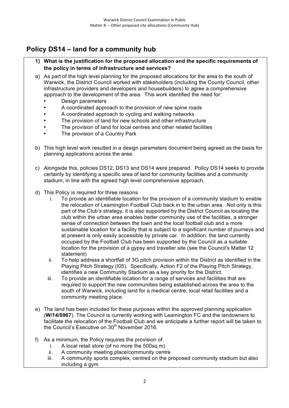## **Policy DS14 – land for a community hub**

- **1) What is the justification for the proposed allocation and the specific requirements of the policy in terms of infrastructure and services?**
- a) As part of the high level planning for the proposed allocations for the area to the south of Warwick, the District Council worked with stakeholders (including the County Council, other infrastructure providers and developers and housebuilders) to agree a comprehensive approach to the development of the area. This work identified the need for:
	- Design parameters
	- A coordinated approach to the provision of new spine roads
	- A coordinated approach to cycling and walking networks
	- The provision of land for new schools and other infrastructure
	- The provision of land for local centres and other related facilities
	- The provision of a Country Park
- b) This high level work resulted in a design parameters document being agreed as the basis for planning applications across the area.
- c) Alongside this, policies DS12, DS13 and DS14 were prepared. Policy DS14 seeks to provide certainty by identifying a specific area of land for community facilities and a community stadium, in line with the agreed high level comprehensive approach.
- d) This Policy is required for three reasons
	- i. To provide an identifiable location for the provision of a community stadium to enable the relocation of Leamington Football Club back in to the urban area. Not only is this part of the Club's strategy, it is also supported by the District Council as locating the club within the urban area enables better community use of the facilities, a stronger sense of connection between the town and the local football club and a more sustainable location for a facility that is subject to a significant number of journeys and at present is only easily accessible by private car. In addition, the land currently occupied by the Football Club has been supported by the Council as a suitable location for the provision of a gypsy and traveller site (see the Council's Matter 12 statement)
	- ii. To help address a shortfall of 3G pitch provision within the District as identified in the Playing Pitch Strategy (I05). Specifically, Action F2 of the Playing Pitch Strategy, identifies a new Community Stadium as a key priority for the District.
	- iii. To provide an identifiable location for a range of services and facilities that are required to support the new communities being established across the area to the south of Warwick, including land for a medical centre, local retail facilities and a community meeting place.
- e) The land has been included for these purposes within the approved planning application (**W/14/0967**). The Council is currently working with Leamington FC and the landowners to facilitate the relocation of the Football Club and we anticipate a further report will be taken to the Council's Executive on 30<sup>th</sup> November 2016.
- f) As a minimum, the Policy requires the provision of:
	- i. A local retail store (of no more the 500sq m)
	- ii. A community meeting place/community centre
	- iii. A community sports complex, centred on the proposed community stadium but also including a gym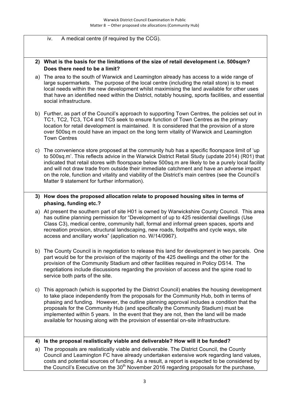### iv. A medical centre (if required by the CCG).

### **2) What is the basis for the limitations of the size of retail development i.e. 500sqm? Does there need to be a limit?**

- a) The area to the south of Warwick and Leamington already has access to a wide range of large supermarkets. The purpose of the local centre (including the retail store) is to meet local needs within the new development whilst maximising the land available for other uses that have an identified need within the District, notably housing, sports facilities, and essential social infrastructure.
- b) Further, as part of the Council's approach to supporting Town Centres, the policies set out in TC1, TC2, TC3, TC4 and TC5 seek to ensure function of Town Centres as the primary location for retail development is maintained. It is considered that the provision of a store over 500sq m could have an impact on the long term vitality of Warwick and Leamington Town Centres
- c) The convenience store proposed at the community hub has a specific floorspace limit of 'up to 500sq.m'. This reflects advice in the Warwick District Retail Study (update 2014) (R01) that indicated that retail stores with floorspace below 500sq.m are likely to be a purely local facility and will not draw trade from outside their immediate catchment and have an adverse impact on the role, function and vitality and viability of the District's main centres (see the Council's Matter 9 statement for further information).
- **3) How does the proposed allocation relate to proposed housing sites in terms of phasing, funding etc.?**
- a) At present the southern part of site H01 is owned by Warwickshire County Council. This area has outline planning permission for "Development of up to 425 residential dwellings (Use Class C3), medical centre, community hall, formal and informal green spaces, sports and recreation provision, structural landscaping, new roads, footpaths and cycle ways, site access and ancillary works" (application no. W/14/0967).
- b) The County Council is in negotiation to release this land for development in two parcels. One part would be for the provision of the majority of the 425 dwellings and the other for the provision of the Community Stadium and other facilities required in Policy DS14. The negotiations include discussions regarding the provision of access and the spine road to service both parts of the site.
- c) This approach (which is supported by the District Council) enables the housing development to take place independently from the proposals for the Community Hub, both in terms of phasing and funding. However, the outline planning approval includes a condition that the proposals for the Community Hub (and specifically the Community Stadium) must be implemented within 5 years. In the event that they are not, then the land will be made available for housing along with the provision of essential on-site infrastructure.

#### **4) Is the proposal realistically viable and deliverable? How will it be funded?**

a) The proposals are realistically viable and deliverable. The District Council, the County Council and Leamington FC have already undertaken extensive work regarding land values, costs and potential sources of funding. As a result, a report is expected to be considered by the Council's Executive on the  $30<sup>th</sup>$  November 2016 regarding proposals for the purchase,